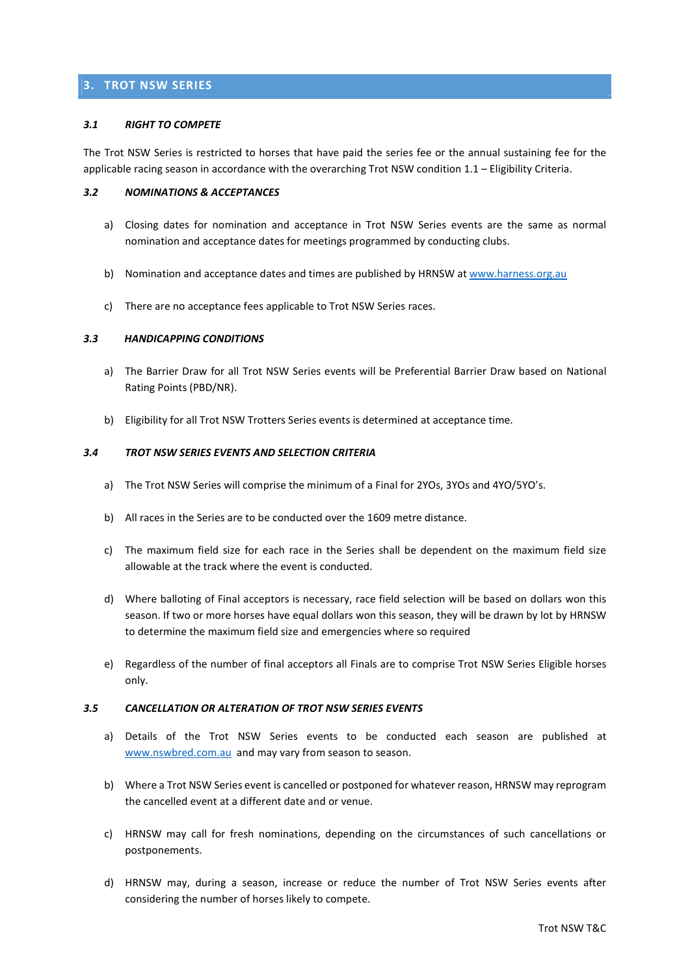# 3. TROT NSW SERIES

## 3.1 RIGHT TO COMPETE

The Trot NSW Series is restricted to horses that have paid the series fee or the annual sustaining fee for the applicable racing season in accordance with the overarching Trot NSW condition 1.1 – Eligibility Criteria.

## 3.2 NOMINATIONS & ACCEPTANCES

- a) Closing dates for nomination and acceptance in Trot NSW Series events are the same as normal nomination and acceptance dates for meetings programmed by conducting clubs.
- b) Nomination and acceptance dates and times are published by HRNSW at www.harness.org.au
- c) There are no acceptance fees applicable to Trot NSW Series races.

## 3.3 HANDICAPPING CONDITIONS

- a) The Barrier Draw for all Trot NSW Series events will be Preferential Barrier Draw based on National Rating Points (PBD/NR).
- b) Eligibility for all Trot NSW Trotters Series events is determined at acceptance time.

## 3.4 TROT NSW SERIES EVENTS AND SELECTION CRITERIA

- a) The Trot NSW Series will comprise the minimum of a Final for 2YOs, 3YOs and 4YO/5YO's.
- b) All races in the Series are to be conducted over the 1609 metre distance.
- c) The maximum field size for each race in the Series shall be dependent on the maximum field size allowable at the track where the event is conducted.
- d) Where balloting of Final acceptors is necessary, race field selection will be based on dollars won this season. If two or more horses have equal dollars won this season, they will be drawn by lot by HRNSW to determine the maximum field size and emergencies where so required
- e) Regardless of the number of final acceptors all Finals are to comprise Trot NSW Series Eligible horses only.

#### 3.5 CANCELLATION OR ALTERATION OF TROT NSW SERIES EVENTS

- a) Details of the Trot NSW Series events to be conducted each season are published at www.nswbred.com.au and may vary from season to season.
- b) Where a Trot NSW Series event is cancelled or postponed for whatever reason, HRNSW may reprogram the cancelled event at a different date and or venue.
- c) HRNSW may call for fresh nominations, depending on the circumstances of such cancellations or postponements.
- d) HRNSW may, during a season, increase or reduce the number of Trot NSW Series events after considering the number of horses likely to compete.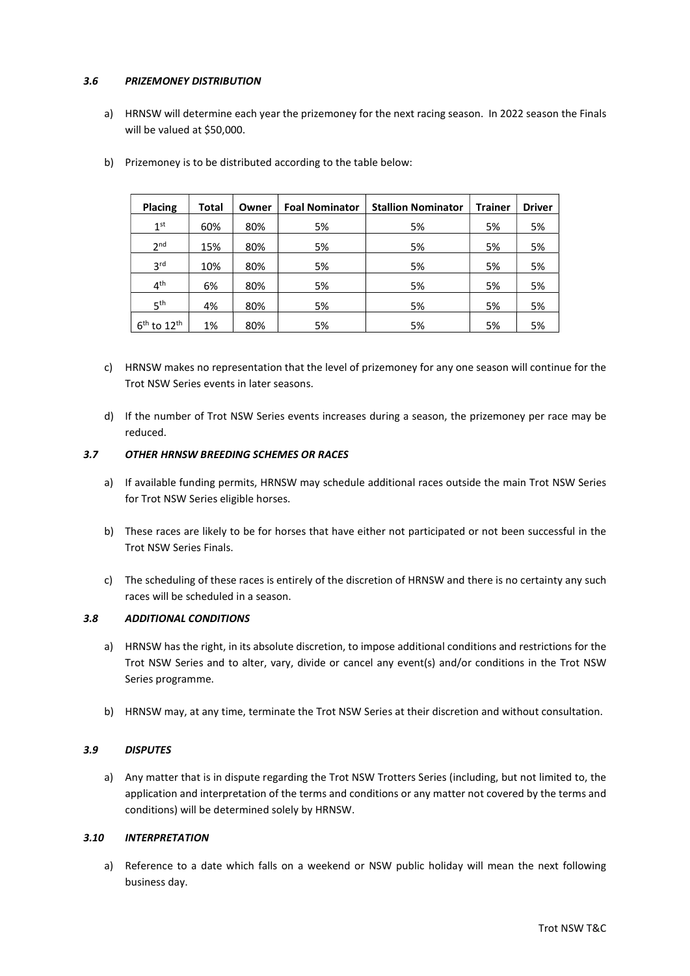## 3.6 PRIZEMONEY DISTRIBUTION

a) HRNSW will determine each year the prizemoney for the next racing season. In 2022 season the Finals will be valued at \$50,000.

| <b>Placing</b>  | Total | Owner | <b>Foal Nominator</b> | <b>Stallion Nominator</b> | <b>Trainer</b> | <b>Driver</b> |
|-----------------|-------|-------|-----------------------|---------------------------|----------------|---------------|
| 1 <sup>st</sup> | 60%   | 80%   | 5%                    | 5%                        | 5%             | 5%            |
| 2 <sub>nd</sub> | 15%   | 80%   | 5%                    | 5%                        | 5%             | 5%            |
| 3 <sup>rd</sup> | 10%   | 80%   | 5%                    | 5%                        | 5%             | 5%            |
| 4 <sup>th</sup> | 6%    | 80%   | 5%                    | 5%                        | 5%             | 5%            |
| 5 <sup>th</sup> | 4%    | 80%   | 5%                    | 5%                        | 5%             | 5%            |
| $6th$ to $12th$ | 1%    | 80%   | 5%                    | 5%                        | 5%             | 5%            |

b) Prizemoney is to be distributed according to the table below:

- c) HRNSW makes no representation that the level of prizemoney for any one season will continue for the Trot NSW Series events in later seasons.
- d) If the number of Trot NSW Series events increases during a season, the prizemoney per race may be reduced.

# 3.7 OTHER HRNSW BREEDING SCHEMES OR RACES

- a) If available funding permits, HRNSW may schedule additional races outside the main Trot NSW Series for Trot NSW Series eligible horses.
- b) These races are likely to be for horses that have either not participated or not been successful in the Trot NSW Series Finals.
- c) The scheduling of these races is entirely of the discretion of HRNSW and there is no certainty any such races will be scheduled in a season.

# 3.8 ADDITIONAL CONDITIONS

- a) HRNSW has the right, in its absolute discretion, to impose additional conditions and restrictions for the Trot NSW Series and to alter, vary, divide or cancel any event(s) and/or conditions in the Trot NSW Series programme.
- b) HRNSW may, at any time, terminate the Trot NSW Series at their discretion and without consultation.

# 3.9 DISPUTES

a) Any matter that is in dispute regarding the Trot NSW Trotters Series (including, but not limited to, the application and interpretation of the terms and conditions or any matter not covered by the terms and conditions) will be determined solely by HRNSW.

# 3.10 INTERPRETATION

a) Reference to a date which falls on a weekend or NSW public holiday will mean the next following business day.